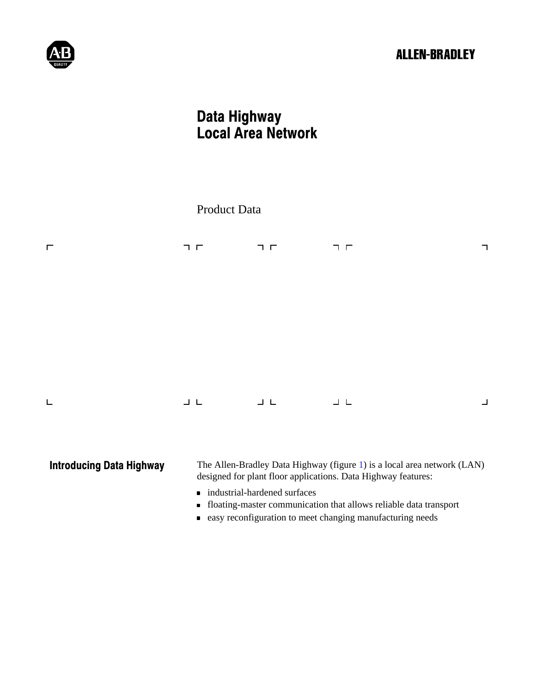# **ALLEN-BRADLEY**



# Data Highway Local Area Network

|                                 | Product Data      |                   |                                                                                                                                          |   |
|---------------------------------|-------------------|-------------------|------------------------------------------------------------------------------------------------------------------------------------------|---|
| $\Gamma$                        | $\sqcap$ $\sqcap$ | $\sqcap$ $\sqcap$ | $\neg~\Gamma$                                                                                                                            | ᄀ |
|                                 |                   |                   |                                                                                                                                          |   |
|                                 |                   |                   |                                                                                                                                          |   |
| L                               | $\Box$ $\Box$     | $\sqcup$ $\sqcup$ | $\begin{array}{c} \bot \end{array}$                                                                                                      | ┙ |
| <b>Introducing Data Highway</b> |                   |                   | The Allen-Bradley Data Highway (figure 1) is a local area network (LAN)<br>designed for plant floor applications. Data Highway features: |   |

- industrial-hardened surfaces
- floating-master communication that allows reliable data transport
- easy reconfiguration to meet changing manufacturing needs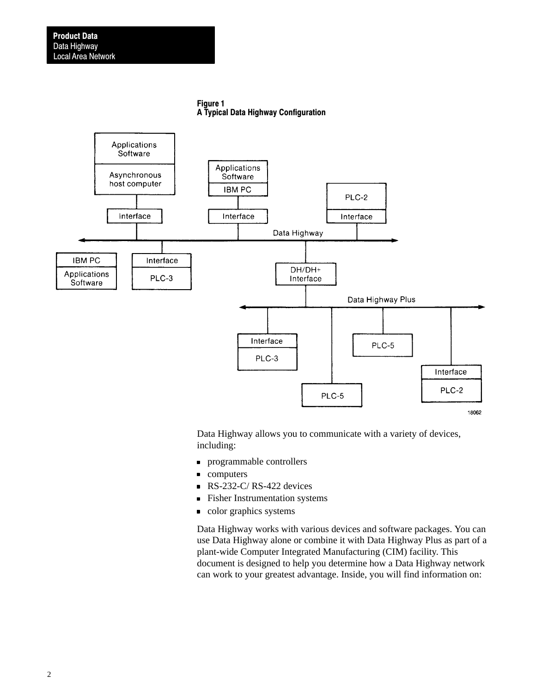Figure 1 A Typical Data Highway Configuration

<span id="page-1-0"></span>

Data Highway allows you to communicate with a variety of devices, including:

- programmable controllers  $\blacksquare$
- $\blacksquare$ computers
- $\text{RS-}232\text{-C}$ / RS-422 devices
- **Fisher Instrumentation systems**
- color graphics systems

Data Highway works with various devices and software packages. You can use Data Highway alone or combine it with Data Highway Plus as part of a plant-wide Computer Integrated Manufacturing (CIM) facility. This document is designed to help you determine how a Data Highway network can work to your greatest advantage. Inside, you will find information on: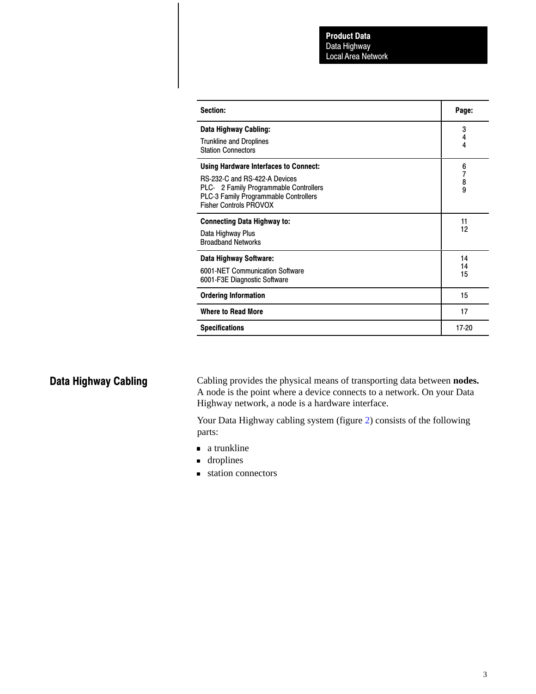| Section:                                                                                                                                                                                    | Page:                                           |
|---------------------------------------------------------------------------------------------------------------------------------------------------------------------------------------------|-------------------------------------------------|
| Data Highway Cabling:<br><b>Trunkline and Droplines</b><br><b>Station Connectors</b>                                                                                                        | 3<br>4<br>4                                     |
| <b>Using Hardware Interfaces to Connect:</b><br>RS-232-C and RS-422-A Devices<br>PLC-®2 Family Programmable Controllers<br>PLC-3 Family Programmable Controllers<br>Fisher Controls PROVOX® | 6<br>$\begin{array}{c} 7 \\ 8 \\ 9 \end{array}$ |
| <b>Connecting Data Highway to:</b><br>Data Highway Plus<br><b>Broadband Networks</b>                                                                                                        | 11<br>12                                        |
| Data Highway Software:<br>6001-NET Communication Software<br>6001-F3E Diagnostic Software                                                                                                   | 14<br>14<br>15                                  |
| <b>Ordering Information</b>                                                                                                                                                                 | 15                                              |
| <b>Where to Read More</b>                                                                                                                                                                   | 17                                              |
| <b>Specifications</b>                                                                                                                                                                       | 17-20                                           |

# Data Highway Cabling

Cabling provides the physical means of transporting data between **nodes.** A node is the point where a device connects to a network. On your Data Highway network, a node is a hardware interface.

Your Data Highway cabling system (figure [2](#page-3-0)) consists of the following parts:

- a trunkline
- **droplines**
- station connectors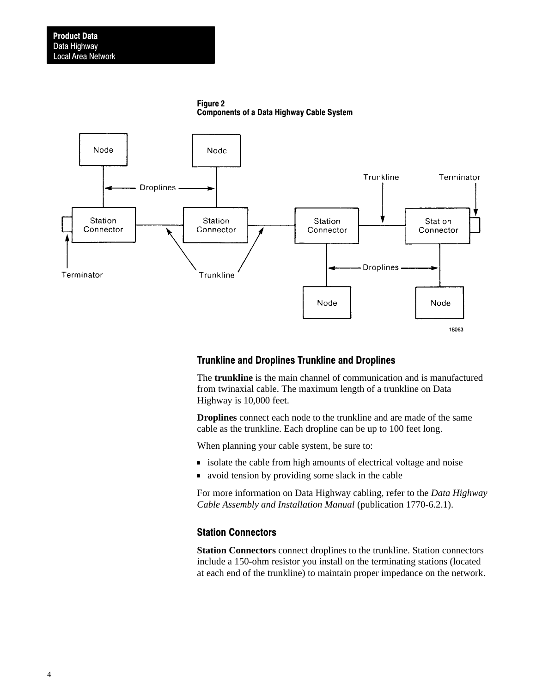Figure 2 Components of a Data Highway Cable System

<span id="page-3-0"></span>

### Trunkline and Droplines Trunkline and Droplines

The **trunkline** is the main channel of communication and is manufactured from twinaxial cable. The maximum length of a trunkline on Data Highway is 10,000 feet.

**Droplines** connect each node to the trunkline and are made of the same cable as the trunkline. Each dropline can be up to 100 feet long.

When planning your cable system, be sure to:

- $\bullet$  isolate the cable from high amounts of electrical voltage and noise
- avoid tension by providing some slack in the cable

For more information on Data Highway cabling, refer to the *Data Highway Cable Assembly and Installation Manual* (publication 1770-6.2.1).

#### Station Connectors

**Station Connectors** connect droplines to the trunkline. Station connectors include a 150-ohm resistor you install on the terminating stations (located at each end of the trunkline) to maintain proper impedance on the network.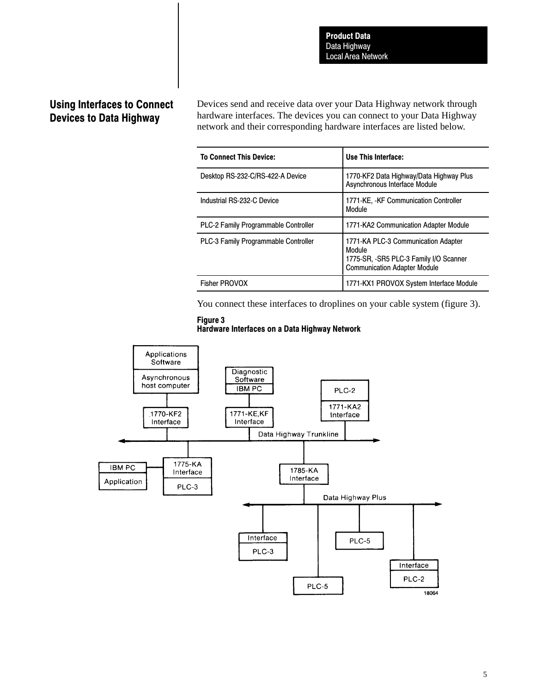# Using Interfaces to Connect Devices to Data Highway

Devices send and receive data over your Data Highway network through hardware interfaces. The devices you can connect to your Data Highway network and their corresponding hardware interfaces are listed below.

| <b>To Connect This Device:</b>              | Use This Interface:                                                                                                            |
|---------------------------------------------|--------------------------------------------------------------------------------------------------------------------------------|
| Desktop RS-232-C/RS-422-A Device            | 1770-KF2 Data Highway/Data Highway Plus<br>Asynchronous Interface Module                                                       |
| Industrial RS-232-C Device                  | 1771-KE, -KF Communication Controller<br>Module                                                                                |
| <b>PLC-2 Family Programmable Controller</b> | 1771-KA2 Communication Adapter Module                                                                                          |
| PLC-3 Family Programmable Controller        | 1771-KA PLC-3 Communication Adapter<br>Module<br>1775-SR, -SR5 PLC-3 Family I/O Scanner<br><b>Communication Adapter Module</b> |
| <b>Fisher PROVOX</b>                        | 1771-KX1 PROVOX System Interface Module                                                                                        |

You connect these interfaces to droplines on your cable system (figure 3).



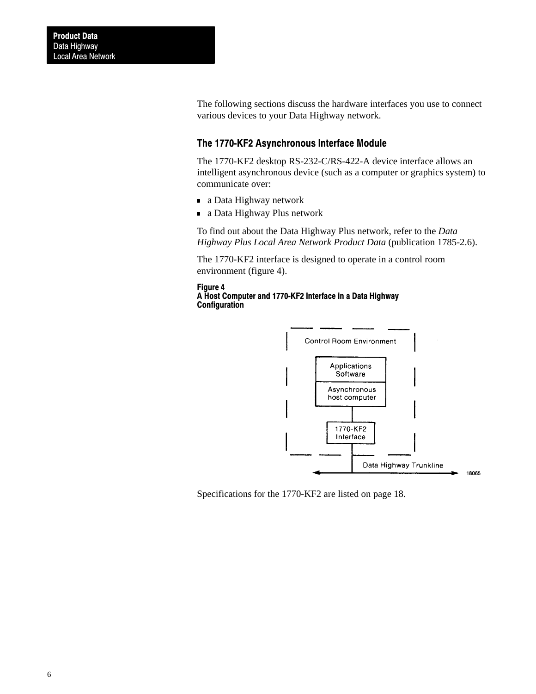The following sections discuss the hardware interfaces you use to connect various devices to your Data Highway network.

### The 1770-KF2 Asynchronous Interface Module

The 1770-KF2 desktop RS-232-C/RS-422-A device interface allows an intelligent asynchronous device (such as a computer or graphics system) to communicate over:

- a Data Highway network
- a Data Highway Plus network

To find out about the Data Highway Plus network, refer to the *Data Highway Plus Local Area Network Product Data* (publication 1785-2.6).

The 1770-KF2 interface is designed to operate in a control room environment (figure 4).

#### Figure 4 A Host Computer and 1770-KF2 Interface in a Data Highway **Configuration**



Specifications for the 1770-KF2 are listed on page 18.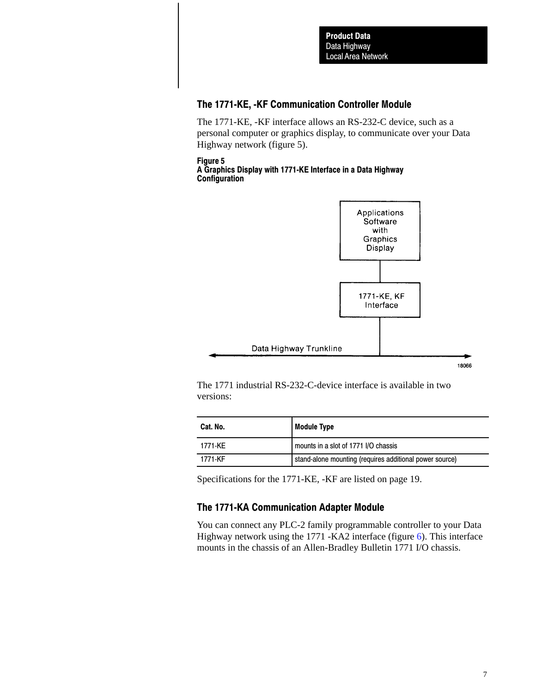## The 1771-KE, -KF Communication Controller Module

The 1771-KE, -KF interface allows an RS-232-C device, such as a personal computer or graphics display, to communicate over your Data Highway network (figure 5).

#### Figure 5 A Graphics Display with 1771-KE Interface in a Data Highway **Configuration**



The 1771 industrial RS-232-C-device interface is available in two versions:

| Cat. No. | <b>Module Type</b>                                      |
|----------|---------------------------------------------------------|
| 1771-KE  | mounts in a slot of 1771 I/O chassis                    |
| 1771-KF  | stand-alone mounting (requires additional power source) |

Specifications for the 1771-KE, -KF are listed on page 19.

### The 1771-KA Communication Adapter Module

You can connect any PLC-2 family programmable controller to your Data Highway network using the 1771 -KA2 interface (figure [6](#page-7-0)). This interface mounts in the chassis of an Allen-Bradley Bulletin 1771 I/O chassis.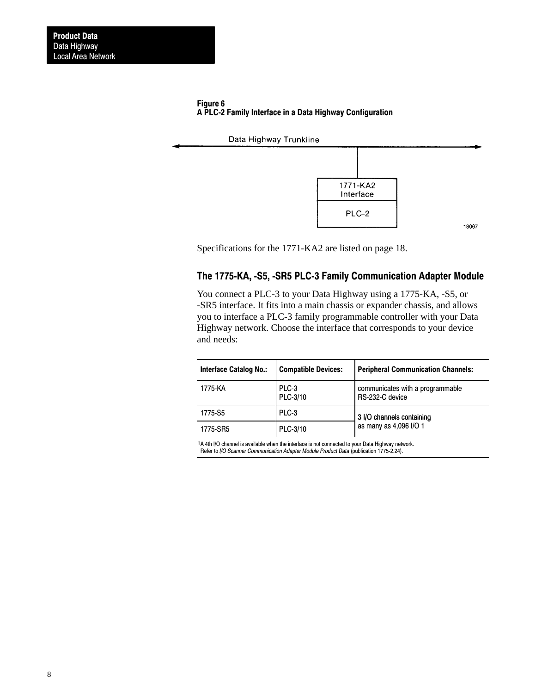#### <span id="page-7-0"></span>Figure 6 A PLC2 Family Interface in a Data Highway Configuration





Specifications for the 1771-KA2 are listed on page 18.

### The 1775-KA, -S5, -SR5 PLC-3 Family Communication Adapter Module

You connect a PLC-3 to your Data Highway using a 1775-KA, -S5, or -SR5 interface. It fits into a main chassis or expander chassis, and allows you to interface a PLC-3 family programmable controller with your Data Highway network. Choose the interface that corresponds to your device and needs:

| <b>Interface Catalog No.:</b> | <b>Compatible Devices:</b> | <b>Peripheral Communication Channels:</b>           |
|-------------------------------|----------------------------|-----------------------------------------------------|
| 1775-KA                       | PLC-3<br>PLC-3/10          | communicates with a programmable<br>RS-232-C device |
| 1775-S5                       | PLC-3                      | 3 I/O channels containing                           |
| 1775-SR5                      | PLC-3/10                   | as many as 4,096 I/O 1                              |

<sup>1</sup>A 4th I/O channel is available when the interface is not connected to your Data Highway network. Refer to I/O Scanner Communication Adapter Module Product Data (publication 1775-2.24).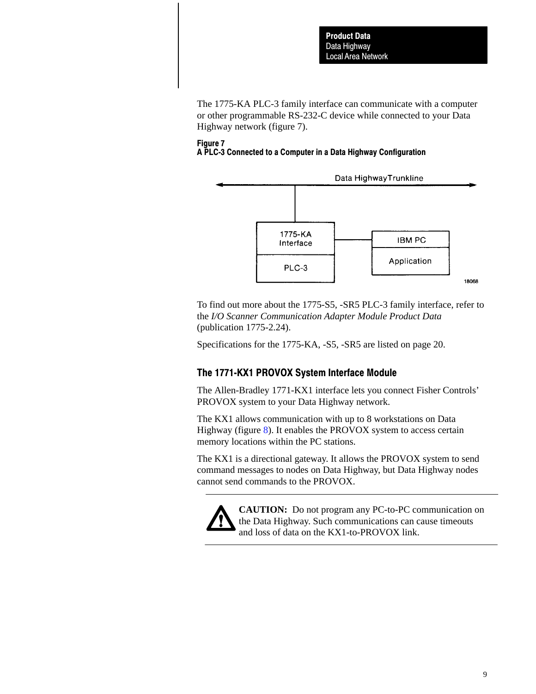The 1775-KA PLC-3 family interface can communicate with a computer or other programmable RS-232-C device while connected to your Data Highway network (figure 7).

#### Figure 7 A PLC3 Connected to a Computer in a Data Highway Configuration



To find out more about the 1775-S5, -SR5 PLC-3 family interface, refer to the *I/O Scanner Communication Adapter Module Product Data* (publication 1775-2.24).

Specifications for the 1775-KA, -S5, -SR5 are listed on page 20.

# The 1771-KX1 PROVOX System Interface Module

The Allen-Bradley 1771-KX1 interface lets you connect Fisher Controls' PROVOX system to your Data Highway network.

The KX1 allows communication with up to 8 workstations on Data Highway (figure [8\)](#page-9-0). It enables the PROVOX system to access certain memory locations within the PC stations.

The KX1 is a directional gateway. It allows the PROVOX system to send command messages to nodes on Data Highway, but Data Highway nodes cannot send commands to the PROVOX.



**CAUTION:** Do not program any PC-to-PC communication on the Data Highway. Such communications can cause timeouts and loss of data on the KX1-to-PROVOX link.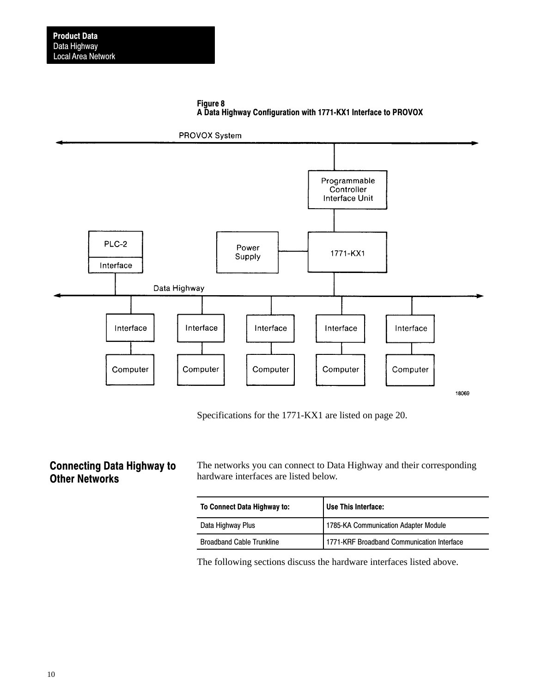

<span id="page-9-0"></span>

Specifications for the 1771-KX1 are listed on page 20.

# Connecting Data Highway to Other Networks

The networks you can connect to Data Highway and their corresponding hardware interfaces are listed below.

| <b>To Connect Data Highway to:</b> | Use This Interface:                        |
|------------------------------------|--------------------------------------------|
| Data Highway Plus                  | 1785-KA Communication Adapter Module       |
| <b>Broadband Cable Trunkline</b>   | 1771-KRF Broadband Communication Interface |

The following sections discuss the hardware interfaces listed above.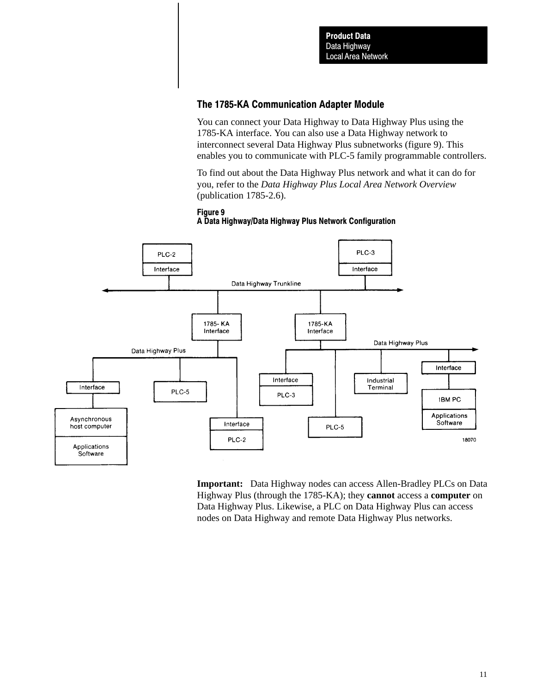### The 1785-KA Communication Adapter Module

You can connect your Data Highway to Data Highway Plus using the 1785-KA interface. You can also use a Data Highway network to interconnect several Data Highway Plus subnetworks (figure 9). This enables you to communicate with PLC-5 family programmable controllers.

To find out about the Data Highway Plus network and what it can do for you, refer to the *Data Highway Plus Local Area Network Overview* (publication 1785-2.6).

#### Figure 9 A Data Highway/Data Highway Plus Network Configuration



**Important:** Data Highway nodes can access Allen-Bradley PLCs on Data Highway Plus (through the 1785-KA); they **cannot** access a **computer** on Data Highway Plus. Likewise, a PLC on Data Highway Plus can access nodes on Data Highway and remote Data Highway Plus networks.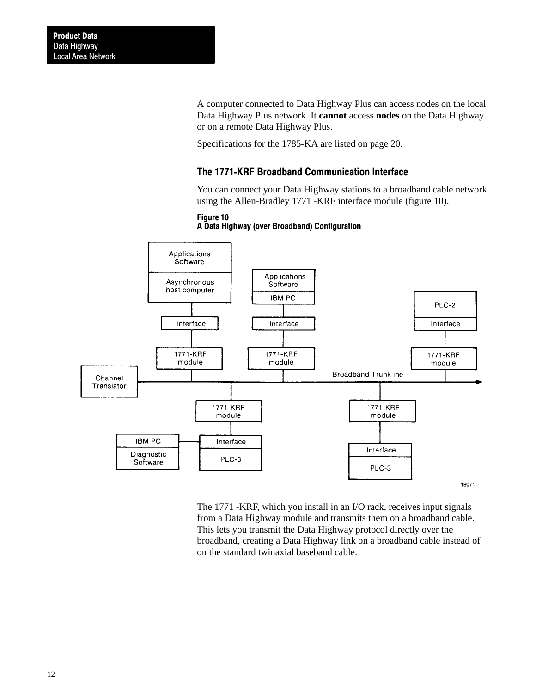A computer connected to Data Highway Plus can access nodes on the local Data Highway Plus network. It **cannot** access **nodes** on the Data Highway or on a remote Data Highway Plus.

Specifications for the 1785-KA are listed on page 20.

### The 1771-KRF Broadband Communication Interface

You can connect your Data Highway stations to a broadband cable network using the Allen-Bradley 1771 -KRF interface module (figure 10).

#### Figure 10





The 1771 -KRF, which you install in an I/O rack, receives input signals from a Data Highway module and transmits them on a broadband cable. This lets you transmit the Data Highway protocol directly over the broadband, creating a Data Highway link on a broadband cable instead of on the standard twinaxial baseband cable.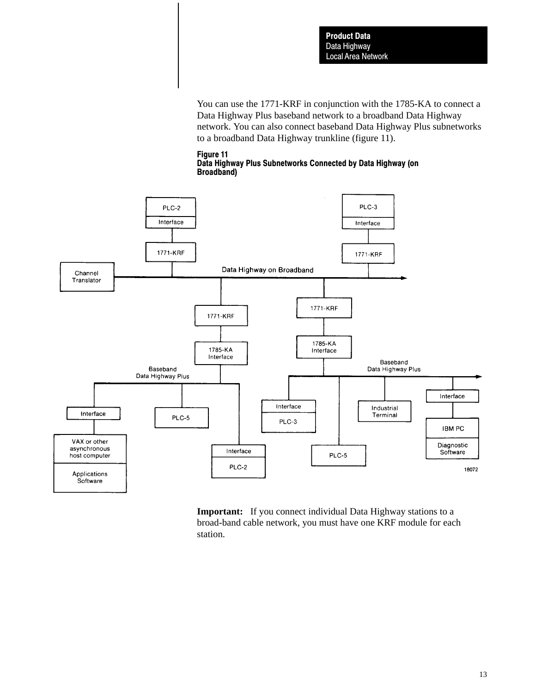You can use the 1771-KRF in conjunction with the 1785-KA to connect a Data Highway Plus baseband network to a broadband Data Highway network. You can also connect baseband Data Highway Plus subnetworks to a broadband Data Highway trunkline (figure 11).





**Important:** If you connect individual Data Highway stations to a broad-band cable network, you must have one KRF module for each station.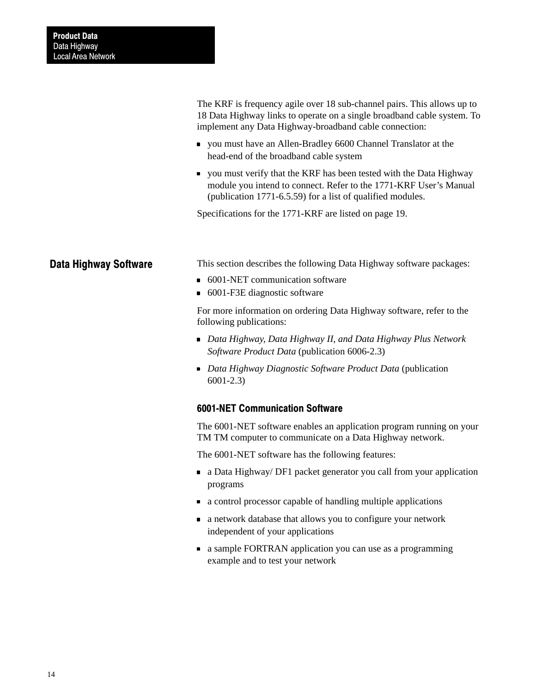The KRF is frequency agile over 18 sub-channel pairs. This allows up to 18 Data Highway links to operate on a single broadband cable system. To implement any Data Highway-broadband cable connection:

- you must have an Allen-Bradley 6600 Channel Translator at the head-end of the broadband cable system
- you must verify that the KRF has been tested with the Data Highway module you intend to connect. Refer to the 1771-KRF User's Manual (publication 1771-6.5.59) for a list of qualified modules.

Specifications for the 1771-KRF are listed on page 19.

### Data Highway Software

This section describes the following Data Highway software packages:

- 6001-NET communication software
- 6001-F3E diagnostic software

For more information on ordering Data Highway software, refer to the following publications:

- *Data Highway, Data Highway II, and Data Highway Plus Network Software Product Data* (publication 6006-2.3)
- *Data Highway Diagnostic Software Product Data* (publication 6001-2.3)

#### 6001-NET Communication Software

The 6001-NET software enables an application program running on your TM TM computer to communicate on a Data Highway network.

The 6001-NET software has the following features:

- a Data Highway/ DF1 packet generator you call from your application programs
- a control processor capable of handling multiple applications
- a network database that allows you to configure your network independent of your applications
- a sample FORTRAN application you can use as a programming example and to test your network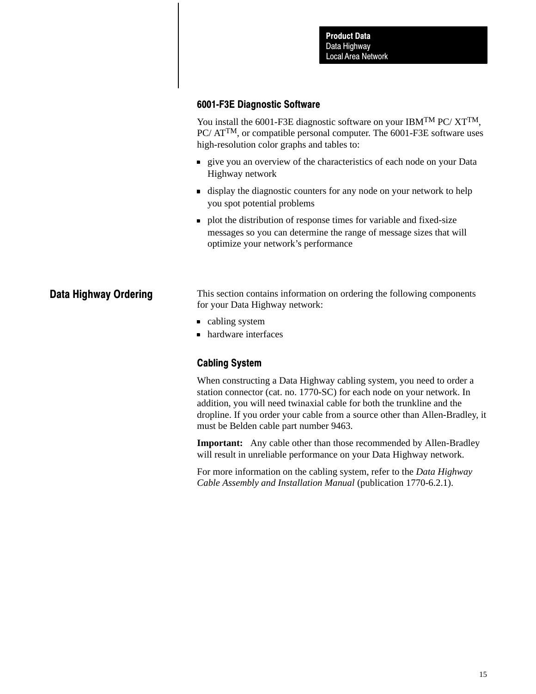### 6001-F3E Diagnostic Software

You install the 6001-F3E diagnostic software on your IBM<sup>TM</sup> PC/  $XT^{TM}$ , PC/ ATTM, or compatible personal computer. The 6001-F3E software uses high-resolution color graphs and tables to:

- **give you an overview of the characteristics of each node on your Data** Highway network
- display the diagnostic counters for any node on your network to help you spot potential problems
- **plot the distribution of response times for variable and fixed-size** messages so you can determine the range of message sizes that will optimize your network's performance

## Data Highway Ordering

This section contains information on ordering the following components for your Data Highway network:

- cabling system
- hardware interfaces

### Cabling System

When constructing a Data Highway cabling system, you need to order a station connector (cat. no. 1770-SC) for each node on your network. In addition, you will need twinaxial cable for both the trunkline and the dropline. If you order your cable from a source other than Allen-Bradley, it must be Belden cable part number 9463.

**Important:** Any cable other than those recommended by Allen-Bradley will result in unreliable performance on your Data Highway network.

For more information on the cabling system, refer to the *Data Highway Cable Assembly and Installation Manual* (publication 1770-6.2.1).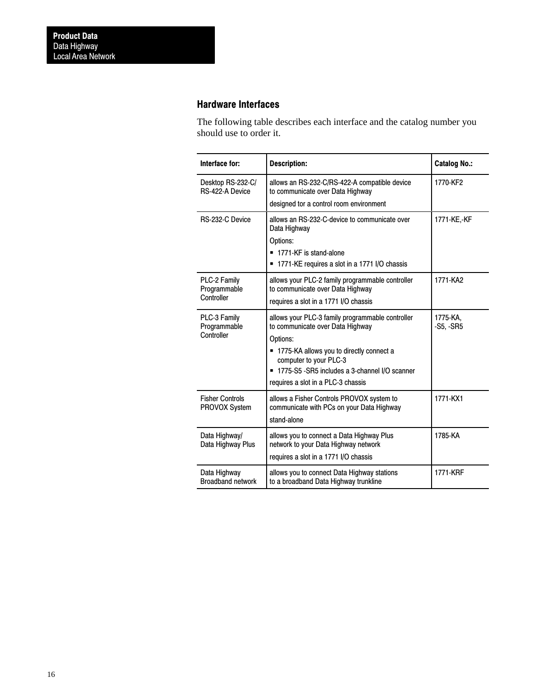### Hardware Interfaces

The following table describes each interface and the catalog number you should use to order it.

| Interface for:                             | <b>Description:</b>                                                                                                                                                                                                                                               | <b>Catalog No.:</b>     |
|--------------------------------------------|-------------------------------------------------------------------------------------------------------------------------------------------------------------------------------------------------------------------------------------------------------------------|-------------------------|
| Desktop RS-232-C/<br>RS-422-A Device       | allows an RS-232-C/RS-422-A compatible device<br>to communicate over Data Highway                                                                                                                                                                                 | 1770-KF2                |
|                                            | designed tor a control room environment                                                                                                                                                                                                                           |                         |
| RS-232-C Device                            | allows an RS-232-C-device to communicate over<br>Data Highway<br>Options:<br>1771-KF is stand-alone<br>Ξ<br>1771-KE requires a slot in a 1771 I/O chassis                                                                                                         | 1771-KE,-KF             |
| PLC-2 Family<br>Programmable<br>Controller | allows your PLC-2 family programmable controller<br>to communicate over Data Highway                                                                                                                                                                              | 1771-KA2                |
|                                            | requires a slot in a 1771 I/O chassis                                                                                                                                                                                                                             |                         |
| PLC-3 Family<br>Programmable<br>Controller | allows your PLC-3 family programmable controller<br>to communicate over Data Highway<br>Options:<br>= 1775-KA allows you to directly connect a<br>computer to your PLC-3<br>■ 1775-S5 -SR5 includes a 3-channel I/O scanner<br>requires a slot in a PLC-3 chassis | 1775-KA.<br>$-S5, -SRS$ |
| <b>Fisher Controls</b><br>PROVOX System    | allows a Fisher Controls PROVOX system to<br>communicate with PCs on your Data Highway<br>stand-alone                                                                                                                                                             | 1771-KX1                |
| Data Highway/<br>Data Highway Plus         | allows you to connect a Data Highway Plus<br>network to your Data Highway network<br>requires a slot in a 1771 I/O chassis                                                                                                                                        | 1785-KA                 |
| Data Highway<br><b>Broadband network</b>   | allows you to connect Data Highway stations<br>to a broadband Data Highway trunkline                                                                                                                                                                              | 1771-KRF                |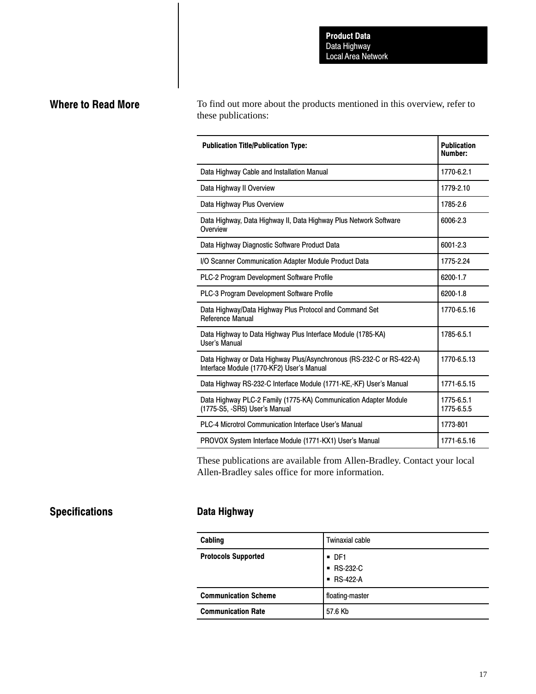# Where to Read More

To find out more about the products mentioned in this overview, refer to these publications:

| <b>Publication Title/Publication Type:</b>                                                                         | <b>Publication</b><br>Number: |
|--------------------------------------------------------------------------------------------------------------------|-------------------------------|
| Data Highway Cable and Installation Manual                                                                         | 1770-6.2.1                    |
| Data Highway II Overview                                                                                           | 1779-2.10                     |
| Data Highway Plus Overview                                                                                         | 1785-2.6                      |
| Data Highway, Data Highway II, Data Highway Plus Network Software<br>Overview                                      | 6006-2.3                      |
| Data Highway Diagnostic Software Product Data                                                                      | 6001-2.3                      |
| I/O Scanner Communication Adapter Module Product Data                                                              | 1775-2.24                     |
| PLC-2 Program Development Software Profile                                                                         | 6200-1.7                      |
| PLC-3 Program Development Software Profile                                                                         | 6200-1.8                      |
| Data Highway/Data Highway Plus Protocol and Command Set<br><b>Reference Manual</b>                                 | 1770-6.5.16                   |
| Data Highway to Data Highway Plus Interface Module (1785-KA)<br>User's Manual                                      | 1785-6.5.1                    |
| Data Highway or Data Highway Plus/Asynchronous (RS-232-C or RS-422-A)<br>Interface Module (1770-KF2) User's Manual | 1770-6.5.13                   |
| Data Highway RS-232-C Interface Module (1771-KE,-KF) User's Manual                                                 | 1771-6.5.15                   |
| Data Highway PLC-2 Family (1775-KA) Communication Adapter Module<br>(1775-S5, -SR5) User's Manual                  | 1775-6.5.1<br>1775-6.5.5      |
| <b>PLC-4 Microtrol Communication Interface User's Manual</b>                                                       | 1773-801                      |
| PROVOX System Interface Module (1771-KX1) User's Manual                                                            | 1771-6.5.16                   |

These publications are available from Allen-Bradley. Contact your local Allen-Bradley sales office for more information.

# **Specifications**

## Data Highway

| Cabling                     | <b>Twinaxial cable</b>                         |
|-----------------------------|------------------------------------------------|
| <b>Protocols Supported</b>  | $\blacksquare$ DF1<br>■ RS-232-C<br>■ RS-422-A |
| <b>Communication Scheme</b> | floating-master                                |
| <b>Communication Rate</b>   | 57.6 Kb                                        |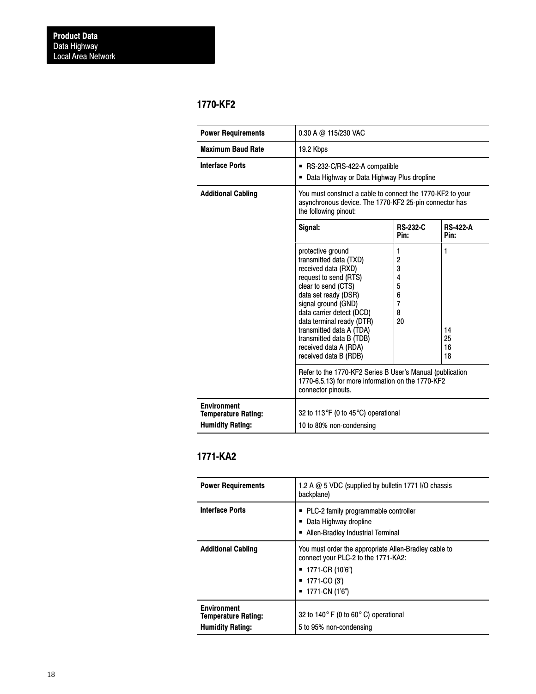## 1770-KF2

| <b>Power Requirements</b>                                                                                                            | 0.30 A @ 115/230 VAC                                                                                                                                                                                                                                                                                                                  |                                                         |                           |
|--------------------------------------------------------------------------------------------------------------------------------------|---------------------------------------------------------------------------------------------------------------------------------------------------------------------------------------------------------------------------------------------------------------------------------------------------------------------------------------|---------------------------------------------------------|---------------------------|
| <b>Maximum Baud Rate</b>                                                                                                             | 19.2 Kbps                                                                                                                                                                                                                                                                                                                             |                                                         |                           |
| <b>Interface Ports</b>                                                                                                               | ■ RS-232-C/RS-422-A compatible<br>Data Highway or Data Highway Plus dropline                                                                                                                                                                                                                                                          |                                                         |                           |
| <b>Additional Cabling</b>                                                                                                            | You must construct a cable to connect the 1770-KF2 to your<br>asynchronous device. The 1770-KF2 25-pin connector has<br>the following pinout:                                                                                                                                                                                         |                                                         |                           |
|                                                                                                                                      | Signal:                                                                                                                                                                                                                                                                                                                               | <b>RS-232-C</b><br>Pin:                                 | <b>RS-422-A</b><br>Pin:   |
|                                                                                                                                      | protective ground<br>transmitted data (TXD)<br>received data (RXD)<br>request to send (RTS)<br>clear to send (CTS)<br>data set ready (DSR)<br>signal ground (GND)<br>data carrier detect (DCD)<br>data terminal ready (DTR)<br>transmitted data A (TDA)<br>transmitted data B (TDB)<br>received data A (RDA)<br>received data B (RDB) | 1<br>2<br>3<br>4<br>5<br>6<br>$\overline{7}$<br>8<br>20 | 1<br>14<br>25<br>16<br>18 |
| Refer to the 1770-KF2 Series B User's Manual (publication<br>1770-6.5.13) for more information on the 1770-KF2<br>connector pinouts. |                                                                                                                                                                                                                                                                                                                                       |                                                         |                           |
| <b>Environment</b><br><b>Temperature Rating:</b><br><b>Humidity Rating:</b>                                                          | 32 to 113 $\degree$ F (0 to 45 $\degree$ C) operational<br>10 to 80% non-condensing                                                                                                                                                                                                                                                   |                                                         |                           |

# 1771-KA2

| <b>Power Requirements</b>                                                   | 1.2 A @ 5 VDC (supplied by bulletin 1771 I/O chassis<br>backplane)                                                                                     |
|-----------------------------------------------------------------------------|--------------------------------------------------------------------------------------------------------------------------------------------------------|
| <b>Interface Ports</b>                                                      | • PLC-2 family programmable controller<br>Data Highway dropline<br>• Allen-Bradley Industrial Terminal                                                 |
| <b>Additional Cabling</b>                                                   | You must order the appropriate Allen-Bradley cable to<br>connect your PLC-2 to the 1771-KA2:<br>1771-CR (10'6")<br>1771-CO (3')<br>1771-CN (1'6")<br>٠ |
| <b>Environment</b><br><b>Temperature Rating:</b><br><b>Humidity Rating:</b> | 32 to 140 $\degree$ F (0 to 60 $\degree$ C) operational<br>5 to 95% non-condensing                                                                     |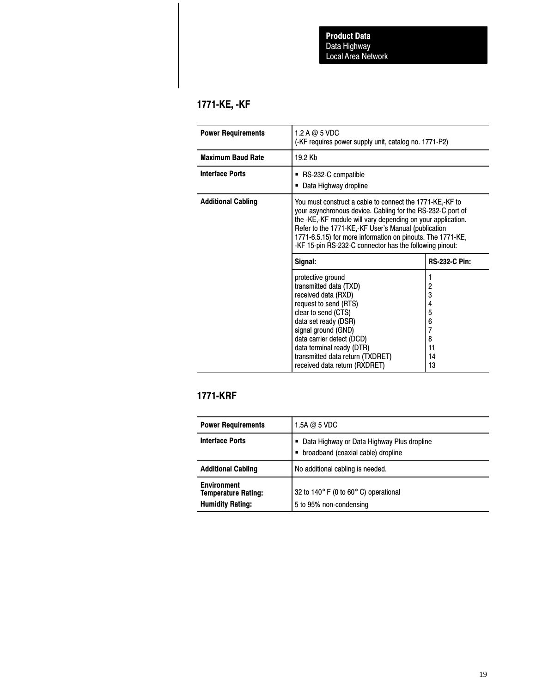# 1771-KE, -KF

| <b>Power Requirements</b> | 1.2 A $@$ 5 VDC<br>(-KF requires power supply unit, catalog no. 1771-P2)                                                                                                                                                                                                                                                                                              |                                                                     |  |
|---------------------------|-----------------------------------------------------------------------------------------------------------------------------------------------------------------------------------------------------------------------------------------------------------------------------------------------------------------------------------------------------------------------|---------------------------------------------------------------------|--|
| <b>Maximum Baud Rate</b>  | 19.2 Kb                                                                                                                                                                                                                                                                                                                                                               |                                                                     |  |
| <b>Interface Ports</b>    | ■ RS-232-C compatible<br>Data Highway dropline                                                                                                                                                                                                                                                                                                                        |                                                                     |  |
| <b>Additional Cabling</b> | You must construct a cable to connect the 1771-KE,-KF to<br>your asynchronous device. Cabling for the RS-232-C port of<br>the -KE,-KF module will vary depending on your application.<br>Refer to the 1771-KE,-KF User's Manual (publication<br>1771-6.5.15) for more information on pinouts. The 1771-KE,<br>-KF 15-pin RS-232-C connector has the following pinout: |                                                                     |  |
|                           | <b>RS-232-C Pin:</b><br>Signal:                                                                                                                                                                                                                                                                                                                                       |                                                                     |  |
|                           | protective ground<br>transmitted data (TXD)<br>received data (RXD)<br>request to send (RTS)<br>clear to send (CTS)<br>data set ready (DSR)<br>signal ground (GND)<br>data carrier detect (DCD)<br>data terminal ready (DTR)<br>transmitted data return (TXDRET)<br>received data return (RXDRET)                                                                      | 1<br>2<br>3<br>4<br>5<br>6<br>$\overline{7}$<br>8<br>11<br>14<br>13 |  |

# 1771-KRF

| <b>Power Requirements</b>                                                   | $1.5A$ @ 5 VDC                                                                     |
|-----------------------------------------------------------------------------|------------------------------------------------------------------------------------|
| <b>Interface Ports</b>                                                      | Oata Highway or Data Highway Plus dropline<br>∪ broadband (coaxial cable) dropline |
| <b>Additional Cabling</b>                                                   | No additional cabling is needed.                                                   |
| <b>Environment</b><br><b>Temperature Rating:</b><br><b>Humidity Rating:</b> | 32 to 140 $\degree$ F (0 to 60 $\degree$ C) operational<br>5 to 95% non-condensing |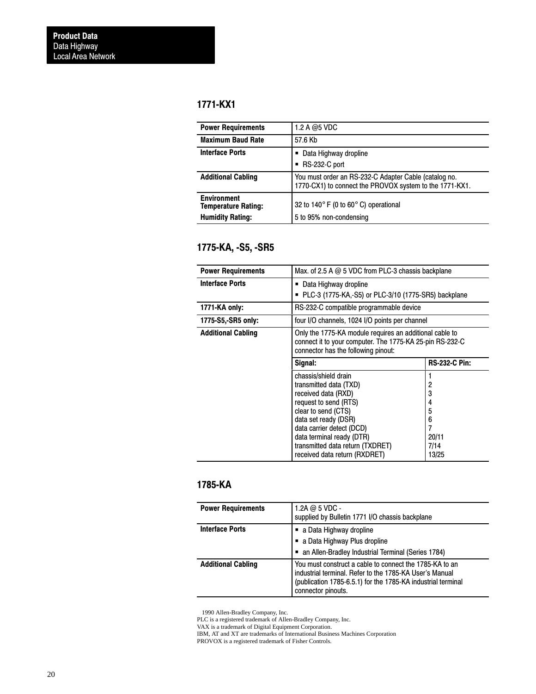## 1771-KX1

| <b>Power Requirements</b>                        | 1.2 A @5 VDC                                                                                                     |
|--------------------------------------------------|------------------------------------------------------------------------------------------------------------------|
| <b>Maximum Baud Rate</b>                         | 57.6 Kb                                                                                                          |
| <b>Interface Ports</b>                           | Data Highway dropline<br>RS-232-C port                                                                           |
| <b>Additional Cabling</b>                        | You must order an RS-232-C Adapter Cable (catalog no.<br>1770-CX1) to connect the PROVOX system to the 1771-KX1. |
| <b>Environment</b><br><b>Temperature Rating:</b> | 32 to 140 $\degree$ F (0 to 60 $\degree$ C) operational                                                          |
| <b>Humidity Rating:</b>                          | 5 to 95% non-condensing                                                                                          |

# 1775-KA, -S5, -SR5

| <b>Power Requirements</b> | Max. of 2.5 A $@$ 5 VDC from PLC-3 chassis backplane                                                                                                                                                                                                                         |                                                      |
|---------------------------|------------------------------------------------------------------------------------------------------------------------------------------------------------------------------------------------------------------------------------------------------------------------------|------------------------------------------------------|
| <b>Interface Ports</b>    | ■ Data Highway dropline<br>PLC-3 (1775-KA,-S5) or PLC-3/10 (1775-SR5) backplane                                                                                                                                                                                              |                                                      |
| 1771-KA only:             | RS-232-C compatible programmable device                                                                                                                                                                                                                                      |                                                      |
| 1775-S5,-SR5 only:        | four I/O channels, 1024 I/O points per channel                                                                                                                                                                                                                               |                                                      |
| <b>Additional Cabling</b> | Only the 1775-KA module requires an additional cable to<br>connect it to your computer. The 1775-KA 25-pin RS-232-C<br>connector has the following pinout:                                                                                                                   |                                                      |
|                           | Signal:                                                                                                                                                                                                                                                                      | <b>RS-232-C Pin:</b>                                 |
|                           | chassis/shield drain<br>transmitted data (TXD)<br>received data (RXD)<br>request to send (RTS)<br>clear to send (CTS)<br>data set ready (DSR)<br>data carrier detect (DCD)<br>data terminal ready (DTR)<br>transmitted data return (TXDRET)<br>received data return (RXDRET) | 2<br>3<br>4<br>5<br>6<br>7<br>20/11<br>7/14<br>13/25 |

# 1785-KA

| <b>Power Requirements</b> | 1.2A $@$ 5 VDC -<br>supplied by Bulletin 1771 I/O chassis backplane                                                                                                                                      |
|---------------------------|----------------------------------------------------------------------------------------------------------------------------------------------------------------------------------------------------------|
| <b>Interface Ports</b>    | ■ a Data Highway dropline<br>■ a Data Highway Plus dropline<br>an Allen-Bradley Industrial Terminal (Series 1784)                                                                                        |
| <b>Additional Cabling</b> | You must construct a cable to connect the 1785-KA to an<br>industrial terminal. Refer to the 1785-KA User's Manual<br>(publication 1785-6.5.1) for the 1785-KA industrial terminal<br>connector pinouts. |

1990 Allen-Bradley Company, Inc.

PLC is a registered trademark of Allen-Bradley Company, Inc.

VAX is a trademark of Digital Equipment Corporation.

IBM, AT and XT are trademarks of International Business Machines Corporation

PROVOX is a registered trademark of Fisher Controls.